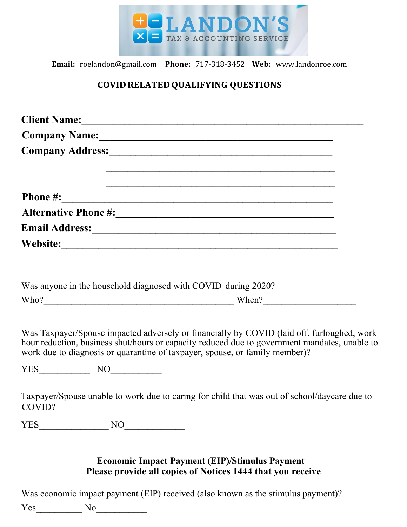

**Email:** roelandon@gmail.com **Phone:** 717-318-3452 **Web:** www.landonroe.com

# **COVIDRELATEDQUALIFYING QUESTIONS**

|                                  |          | Client Name:                                                                                                                                                                                                                                                               |  |
|----------------------------------|----------|----------------------------------------------------------------------------------------------------------------------------------------------------------------------------------------------------------------------------------------------------------------------------|--|
| Company Name: 1988 Company Name: |          |                                                                                                                                                                                                                                                                            |  |
|                                  |          | Company Address:<br><u>Company Address:</u>                                                                                                                                                                                                                                |  |
|                                  |          |                                                                                                                                                                                                                                                                            |  |
|                                  |          |                                                                                                                                                                                                                                                                            |  |
|                                  |          |                                                                                                                                                                                                                                                                            |  |
|                                  |          |                                                                                                                                                                                                                                                                            |  |
|                                  |          |                                                                                                                                                                                                                                                                            |  |
|                                  |          |                                                                                                                                                                                                                                                                            |  |
|                                  |          |                                                                                                                                                                                                                                                                            |  |
|                                  |          |                                                                                                                                                                                                                                                                            |  |
|                                  |          | Was anyone in the household diagnosed with COVID during 2020?<br>$\text{Who?}\_$                                                                                                                                                                                           |  |
|                                  |          |                                                                                                                                                                                                                                                                            |  |
|                                  |          | Was Taxpayer/Spouse impacted adversely or financially by COVID (laid off, furloughed, work<br>hour reduction, business shut/hours or capacity reduced due to government mandates, unable to<br>work due to diagnosis or quarantine of taxpayer, spouse, or family member)? |  |
|                                  | $YES$ NO |                                                                                                                                                                                                                                                                            |  |
| COVID?                           |          | Taxpayer/Spouse unable to work due to caring for child that was out of school/daycare due to                                                                                                                                                                               |  |

Was economic impact payment (EIP) received (also known as the stimulus payment)?

Yes\_\_\_\_\_\_\_\_\_\_ No\_\_\_\_\_\_\_\_\_\_\_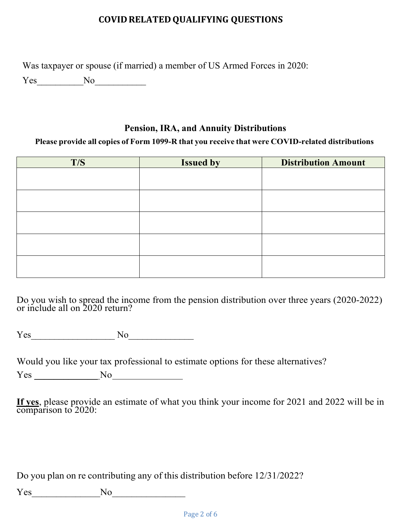Was taxpayer or spouse (if married) a member of US Armed Forces in 2020:

Yes No

## **Pension, IRA, and Annuity Distributions**

#### **Please provide all copies of Form 1099-R that you receive that were COVID-related distributions**

| T/S | <b>Issued by</b> | <b>Distribution Amount</b> |
|-----|------------------|----------------------------|
|     |                  |                            |
|     |                  |                            |
|     |                  |                            |
|     |                  |                            |
|     |                  |                            |
|     |                  |                            |
|     |                  |                            |
|     |                  |                            |
|     |                  |                            |
|     |                  |                            |

Do you wish to spread the income from the pension distribution over three years (2020-2022) or include all on 2020 return?

Yes\_\_\_\_\_\_\_\_\_\_\_\_\_\_\_\_\_\_ No\_\_\_\_\_\_\_\_\_\_\_\_\_\_

Would you like your tax professional to estimate options for these alternatives?

Yes \_\_\_\_\_\_\_\_\_\_\_\_\_ No

**If yes**, please provide an estimate of what you think your income for 2021 and 2022 will be in comparison to 2020:

Do you plan on re contributing any of this distribution before 12/31/2022?

Yes\_\_\_\_\_\_\_\_\_\_\_\_\_\_No\_\_\_\_\_\_\_\_\_\_\_\_\_\_\_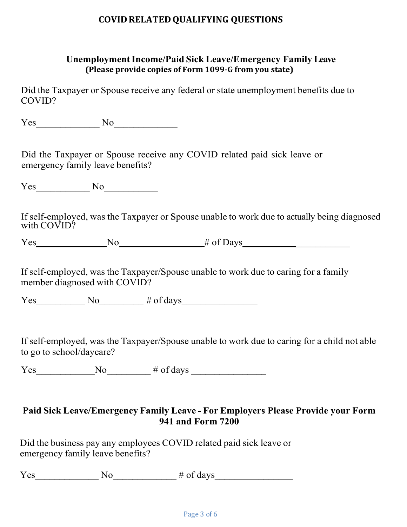#### **UnemploymentIncome/Paid Sick Leave/Emergency Family Leave (Please provide copies of Form 1099-G from you state)**

Did the Taxpayer or Spouse receive any federal or state unemployment benefits due to COVID?

Yes No

Did the Taxpayer or Spouse receive any COVID related paid sick leave or emergency family leave benefits?

Yes No

If self-employed, was the Taxpayer or Spouse unable to work due to actually being diagnosed with COVID?

Yes No  $\qquad \qquad$  No  $\qquad \qquad$  # of Days

If self-employed, was the Taxpayer/Spouse unable to work due to caring for a family member diagnosed with COVID?

Yes No  $\#$  of days

If self-employed, was the Taxpayer/Spouse unable to work due to caring for a child not able to go to school/daycare?

 $Yes$  No  $\longrightarrow$  # of days  $\longrightarrow$ 

## **Paid Sick Leave/Emergency Family Leave - For Employers Please Provide your Form 941 and Form 7200**

Did the business pay any employees COVID related paid sick leave or emergency family leave benefits?

Yes No  $\#$  of days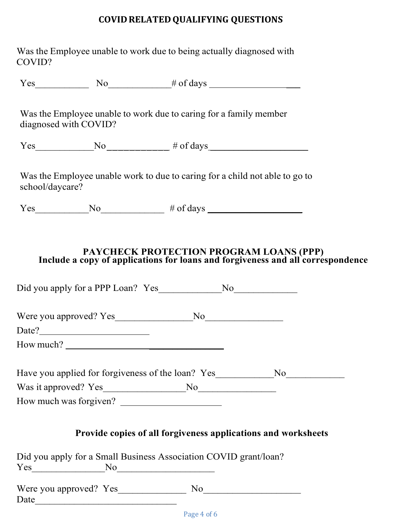| Was the Employee unable to work due to being actually diagnosed with |  |
|----------------------------------------------------------------------|--|
| COVID?                                                               |  |

 $Yes$  No  $\qquad \qquad \text{No}$   $\qquad \qquad \# \text{ of days}$ 

Was the Employee unable to work due to caring for a family member diagnosed with COVID?

 $Yes \qquad No \qquad No \qquad \qquad # of days$ 

Was the Employee unable work to due to caring for a child not able to go to school/daycare?

 $Yes$  No No  $\qquad \qquad \qquad$  # of days  $\qquad \qquad$ 

#### **PAYCHECK PROTECTION PROGRAM LOANS (PPP) Include a copy of applications for loans and forgiveness and all correspondence**

| How much?                                                                         |     |  |
|-----------------------------------------------------------------------------------|-----|--|
| Have you applied for forgiveness of the loan? Yes_______________No_______________ |     |  |
|                                                                                   |     |  |
| How much was forgiven?                                                            |     |  |
| Provide copies of all forgiveness applications and worksheets                     |     |  |
| Did you apply for a Small Business Association COVID grant/loan?                  |     |  |
| $Yes$ No $No$                                                                     |     |  |
| Were you approved? Yes                                                            | No. |  |

Date was a set of  $\overline{D}$  and  $\overline{D}$  and  $\overline{D}$  are  $\overline{D}$  and  $\overline{D}$  and  $\overline{D}$  are  $\overline{D}$  and  $\overline{D}$  are  $\overline{D}$  and  $\overline{D}$  are  $\overline{D}$  and  $\overline{D}$  and  $\overline{D}$  are  $\overline{D}$  and  $\overline{D}$  and  $\overline{D}$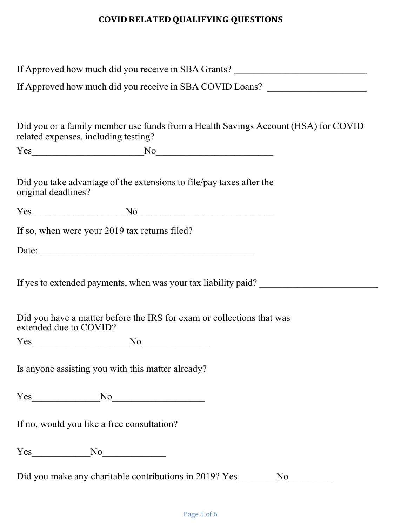|                        | If Approved how much did you receive in SBA Grants? ____________________________                                                                          |  |
|------------------------|-----------------------------------------------------------------------------------------------------------------------------------------------------------|--|
|                        | If Approved how much did you receive in SBA COVID Loans?                                                                                                  |  |
|                        | Did you or a family member use funds from a Health Savings Account (HSA) for COVID<br>related expenses, including testing?                                |  |
|                        |                                                                                                                                                           |  |
| original deadlines?    | Did you take advantage of the extensions to file/pay taxes after the                                                                                      |  |
|                        | $Yes$ No No                                                                                                                                               |  |
|                        | If so, when were your 2019 tax returns filed?                                                                                                             |  |
|                        |                                                                                                                                                           |  |
| extended due to COVID? | If yes to extended payments, when was your tax liability paid? _________________<br>Did you have a matter before the IRS for exam or collections that was |  |
|                        | $Yes$ No $No$                                                                                                                                             |  |
|                        | Is anyone assisting you with this matter already?                                                                                                         |  |
|                        | $Yes$ No $No$                                                                                                                                             |  |
|                        | If no, would you like a free consultation?                                                                                                                |  |
|                        | $Yes$ No $No$                                                                                                                                             |  |
|                        | Did you make any charitable contributions in 2019? Yes No                                                                                                 |  |